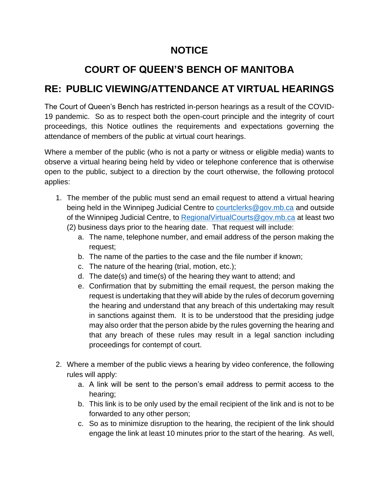## **NOTICE**

## **COURT OF QUEEN'S BENCH OF MANITOBA**

## **RE: PUBLIC VIEWING/ATTENDANCE AT VIRTUAL HEARINGS**

The Court of Queen's Bench has restricted in-person hearings as a result of the COVID-19 pandemic. So as to respect both the open-court principle and the integrity of court proceedings, this Notice outlines the requirements and expectations governing the attendance of members of the public at virtual court hearings.

Where a member of the public (who is not a party or witness or eligible media) wants to observe a virtual hearing being held by video or telephone conference that is otherwise open to the public, subject to a direction by the court otherwise, the following protocol applies:

- 1. The member of the public must send an email request to attend a virtual hearing being held in the Winnipeg Judicial Centre to [courtclerks@gov.mb.ca](mailto:courtclerks@gov.mb.ca) and outside of the Winnipeg Judicial Centre, to Regional Virtual Courts @gov.mb.ca at least two (2) business days prior to the hearing date. That request will include:
	- a. The name, telephone number, and email address of the person making the request;
	- b. The name of the parties to the case and the file number if known;
	- c. The nature of the hearing (trial, motion, etc.);
	- d. The date(s) and time(s) of the hearing they want to attend; and
	- e. Confirmation that by submitting the email request, the person making the request is undertaking that they will abide by the rules of decorum governing the hearing and understand that any breach of this undertaking may result in sanctions against them. It is to be understood that the presiding judge may also order that the person abide by the rules governing the hearing and that any breach of these rules may result in a legal sanction including proceedings for contempt of court.
- 2. Where a member of the public views a hearing by video conference, the following rules will apply:
	- a. A link will be sent to the person's email address to permit access to the hearing;
	- b. This link is to be only used by the email recipient of the link and is not to be forwarded to any other person;
	- c. So as to minimize disruption to the hearing, the recipient of the link should engage the link at least 10 minutes prior to the start of the hearing. As well,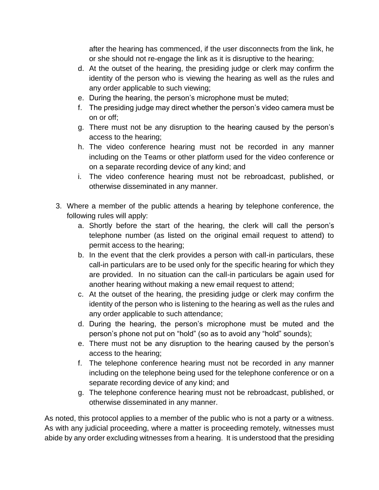after the hearing has commenced, if the user disconnects from the link, he or she should not re-engage the link as it is disruptive to the hearing;

- d. At the outset of the hearing, the presiding judge or clerk may confirm the identity of the person who is viewing the hearing as well as the rules and any order applicable to such viewing;
- e. During the hearing, the person's microphone must be muted;
- f. The presiding judge may direct whether the person's video camera must be on or off;
- g. There must not be any disruption to the hearing caused by the person's access to the hearing;
- h. The video conference hearing must not be recorded in any manner including on the Teams or other platform used for the video conference or on a separate recording device of any kind; and
- i. The video conference hearing must not be rebroadcast, published, or otherwise disseminated in any manner.
- 3. Where a member of the public attends a hearing by telephone conference, the following rules will apply:
	- a. Shortly before the start of the hearing, the clerk will call the person's telephone number (as listed on the original email request to attend) to permit access to the hearing;
	- b. In the event that the clerk provides a person with call-in particulars, these call-in particulars are to be used only for the specific hearing for which they are provided. In no situation can the call-in particulars be again used for another hearing without making a new email request to attend;
	- c. At the outset of the hearing, the presiding judge or clerk may confirm the identity of the person who is listening to the hearing as well as the rules and any order applicable to such attendance;
	- d. During the hearing, the person's microphone must be muted and the person's phone not put on "hold" (so as to avoid any "hold" sounds);
	- e. There must not be any disruption to the hearing caused by the person's access to the hearing;
	- f. The telephone conference hearing must not be recorded in any manner including on the telephone being used for the telephone conference or on a separate recording device of any kind; and
	- g. The telephone conference hearing must not be rebroadcast, published, or otherwise disseminated in any manner.

As noted, this protocol applies to a member of the public who is not a party or a witness. As with any judicial proceeding, where a matter is proceeding remotely, witnesses must abide by any order excluding witnesses from a hearing. It is understood that the presiding